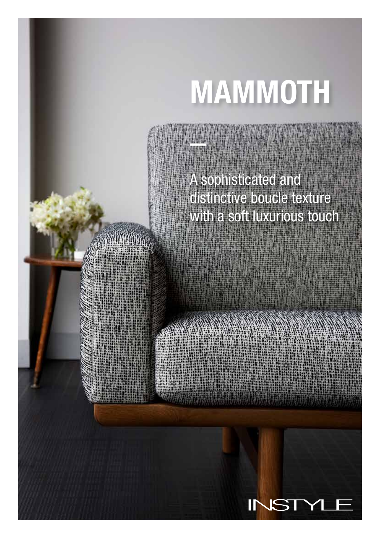# MAMMOTH

## A sophisticated and distinctive boucle texture with a soft luxurious touch

imm<sub>a</sub>

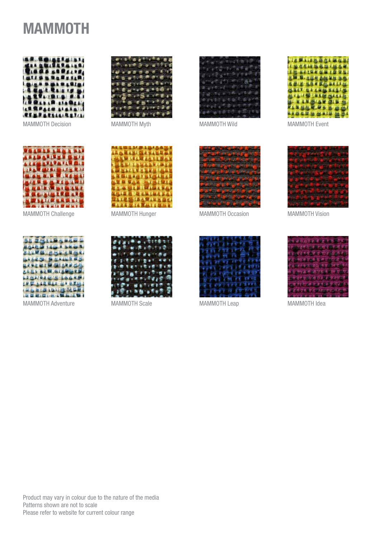## MAMMOTH



MAMMOTH Decision MAMMOTH Myth



MAMMOTH Challenge



MAMMOTH Adventure





MAMMOTH Wild



MAMMOTH Event



MAMMOTH Hunger



MAMMOTH Scale



MAMMOTH Occasion



MAMMOTH Leap MAMMOTH Idea



MAMMOTH Vision